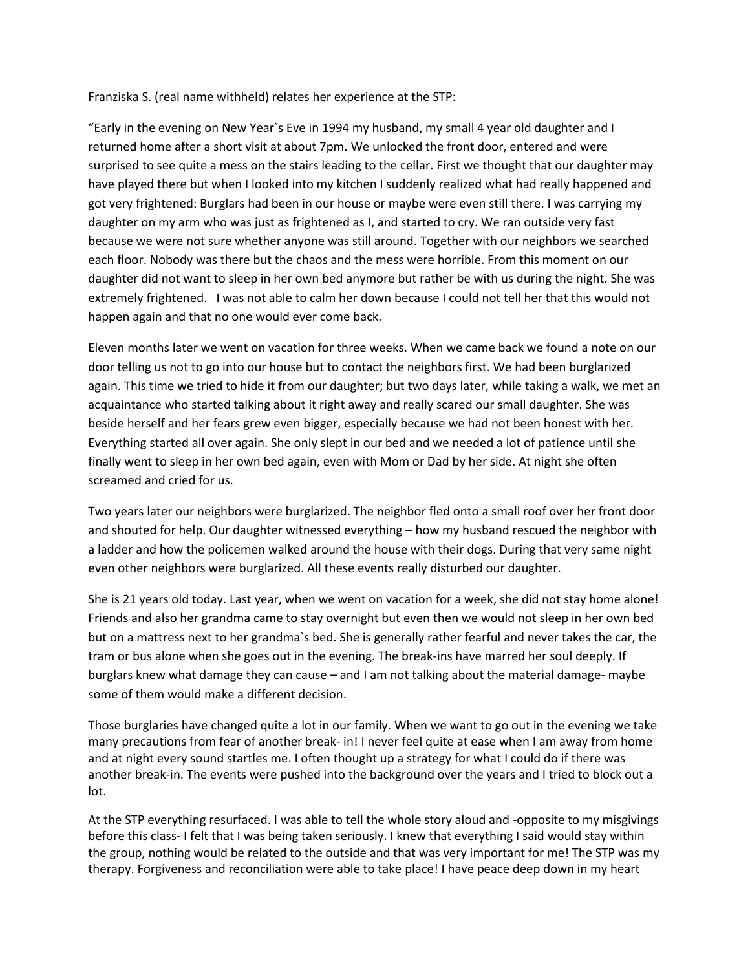Franziska S. (real name withheld) relates her experience at the STP:

"Early in the evening on New Year`s Eve in 1994 my husband, my small 4 year old daughter and I returned home after a short visit at about 7pm. We unlocked the front door, entered and were surprised to see quite a mess on the stairs leading to the cellar. First we thought that our daughter may have played there but when I looked into my kitchen I suddenly realized what had really happened and got very frightened: Burglars had been in our house or maybe were even still there. I was carrying my daughter on my arm who was just as frightened as I, and started to cry. We ran outside very fast because we were not sure whether anyone was still around. Together with our neighbors we searched each floor. Nobody was there but the chaos and the mess were horrible. From this moment on our daughter did not want to sleep in her own bed anymore but rather be with us during the night. She was extremely frightened. I was not able to calm her down because I could not tell her that this would not happen again and that no one would ever come back.

Eleven months later we went on vacation for three weeks. When we came back we found a note on our door telling us not to go into our house but to contact the neighbors first. We had been burglarized again. This time we tried to hide it from our daughter; but two days later, while taking a walk, we met an acquaintance who started talking about it right away and really scared our small daughter. She was beside herself and her fears grew even bigger, especially because we had not been honest with her. Everything started all over again. She only slept in our bed and we needed a lot of patience until she finally went to sleep in her own bed again, even with Mom or Dad by her side. At night she often screamed and cried for us.

Two years later our neighbors were burglarized. The neighbor fled onto a small roof over her front door and shouted for help. Our daughter witnessed everything – how my husband rescued the neighbor with a ladder and how the policemen walked around the house with their dogs. During that very same night even other neighbors were burglarized. All these events really disturbed our daughter.

She is 21 years old today. Last year, when we went on vacation for a week, she did not stay home alone! Friends and also her grandma came to stay overnight but even then we would not sleep in her own bed but on a mattress next to her grandma`s bed. She is generally rather fearful and never takes the car, the tram or bus alone when she goes out in the evening. The break-ins have marred her soul deeply. If burglars knew what damage they can cause – and I am not talking about the material damage- maybe some of them would make a different decision.

Those burglaries have changed quite a lot in our family. When we want to go out in the evening we take many precautions from fear of another break- in! I never feel quite at ease when I am away from home and at night every sound startles me. I often thought up a strategy for what I could do if there was another break-in. The events were pushed into the background over the years and I tried to block out a lot.

At the STP everything resurfaced. I was able to tell the whole story aloud and -opposite to my misgivings before this class- I felt that I was being taken seriously. I knew that everything I said would stay within the group, nothing would be related to the outside and that was very important for me! The STP was my therapy. Forgiveness and reconciliation were able to take place! I have peace deep down in my heart